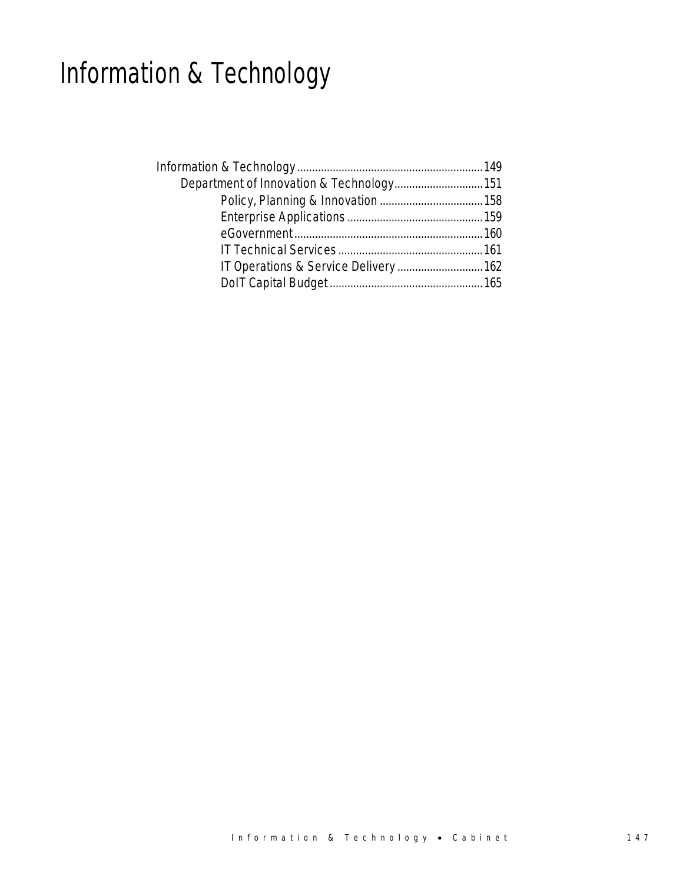# Information & Technology

| Department of Innovation & Technology 151 |  |
|-------------------------------------------|--|
|                                           |  |
|                                           |  |
|                                           |  |
|                                           |  |
|                                           |  |
|                                           |  |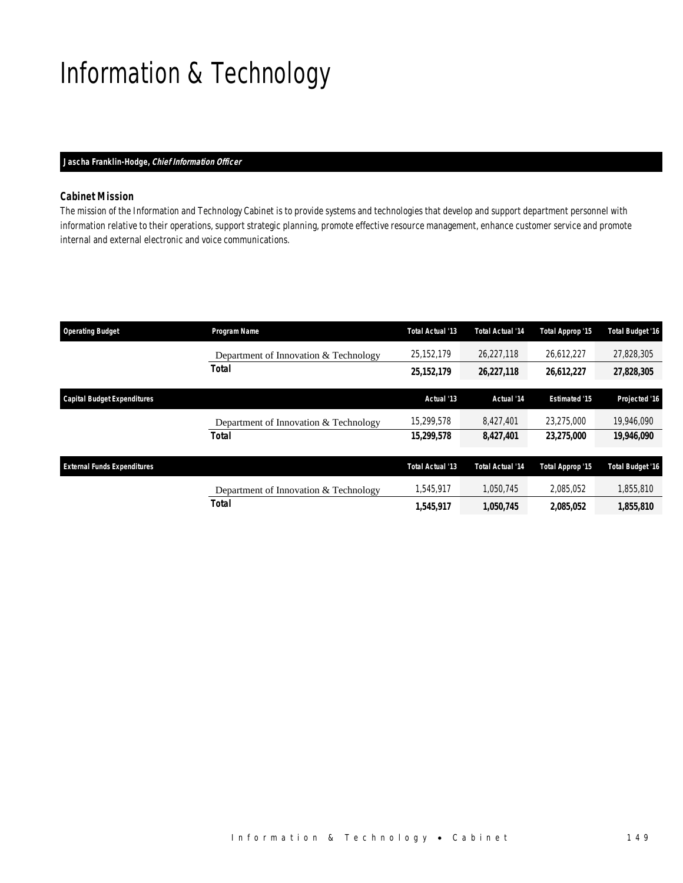# Information & Technology

## *Jascha Franklin-Hodge, Chief Information Officer*

## *Cabinet Mission*

The mission of the Information and Technology Cabinet is to provide systems and technologies that develop and support department personnel with information relative to their operations, support strategic planning, promote effective resource management, enhance customer service and promote internal and external electronic and voice communications.

| <b>Operating Budget</b>            | Program Name                          | <b>Total Actual '13</b> | <b>Total Actual '14</b> | Total Approp '15     | <b>Total Budget '16</b> |
|------------------------------------|---------------------------------------|-------------------------|-------------------------|----------------------|-------------------------|
|                                    | Department of Innovation & Technology | 25,152,179              | 26,227,118              | 26,612,227           | 27,828,305              |
|                                    | Total                                 | 25, 152, 179            | 26,227,118              | 26,612,227           | 27,828,305              |
| <b>Capital Budget Expenditures</b> |                                       | Actual '13              | Actual '14              | <b>Estimated '15</b> | Projected '16           |
|                                    |                                       |                         |                         |                      |                         |
|                                    | Department of Innovation & Technology | 15,299,578              | 8.427.401               | 23,275,000           | 19,946,090              |
|                                    | <b>Total</b>                          | 15,299,578              | 8,427,401               | 23,275,000           | 19,946,090              |
|                                    |                                       |                         |                         |                      |                         |
| <b>External Funds Expenditures</b> |                                       | <b>Total Actual '13</b> | <b>Total Actual '14</b> | Total Approp '15     | <b>Total Budget '16</b> |
|                                    | Department of Innovation & Technology | 1,545,917               | 1,050,745               | 2,085,052            | 1,855,810               |
|                                    | <b>Total</b>                          | 1,545,917               | 1,050,745               | 2,085,052            | 1,855,810               |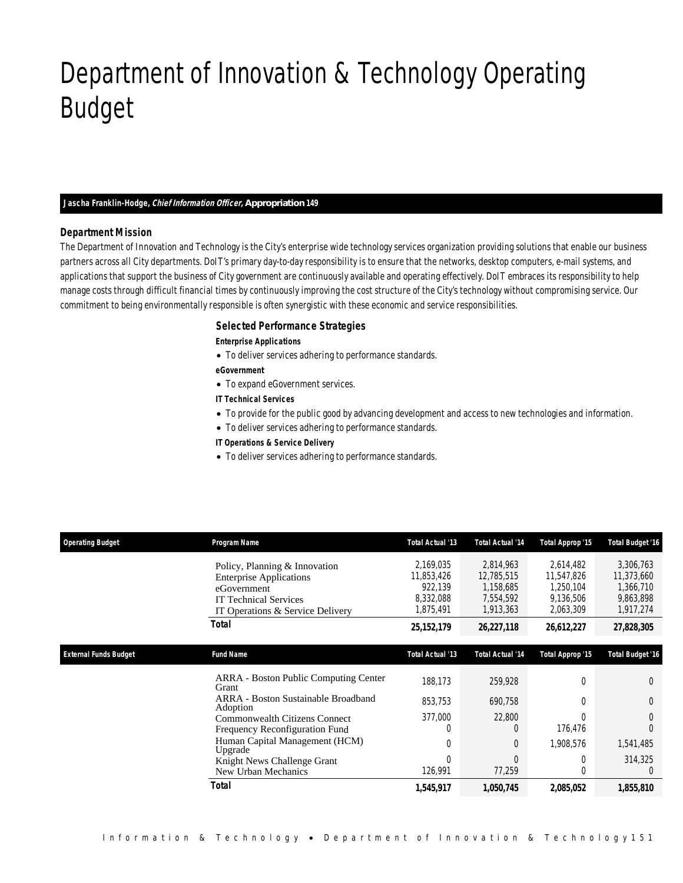# Department of Innovation & Technology Operating Budget

### *Jascha Franklin-Hodge, Chief Information Officer, Appropriation 149*

### *Department Mission*

Department of Innovation & Technology

The Department of Innovation and Technology is the City's enterprise wide technology services organization providing solutions that enable our business partners across all City departments. DoIT's primary day-to-day responsibility is to ensure that the networks, desktop computers, e-mail systems, and applications that support the business of City government are continuously available and operating effectively. DoIT embraces its responsibility to help manage costs through difficult financial times by continuously improving the cost structure of the City's technology without compromising service. Our commitment to being environmentally responsible is often synergistic with these economic and service responsibilities.

## *Selected Performance Strategies*

#### *Enterprise Applications*

- To deliver services adhering to performance standards.
- *eGovernment*
- To expand eGovernment services.
- *IT Technical Services*
- To provide for the public good by advancing development and access to new technologies and information.
- To deliver services adhering to performance standards.
- *IT Operations & Service Delivery*
- To deliver services adhering to performance standards.

| <b>Operating Budget</b>      | Program Name                                                                                                                                       | Total Actual '13                                             | <b>Total Actual '14</b>                                        | Total Approp '15                                               | <b>Total Budget '16</b>                                        |
|------------------------------|----------------------------------------------------------------------------------------------------------------------------------------------------|--------------------------------------------------------------|----------------------------------------------------------------|----------------------------------------------------------------|----------------------------------------------------------------|
|                              | Policy, Planning & Innovation<br><b>Enterprise Applications</b><br>eGovernment<br><b>IT Technical Services</b><br>IT Operations & Service Delivery | 2,169,035<br>11,853,426<br>922,139<br>8,332,088<br>1,875,491 | 2,814,963<br>12,785,515<br>1,158,685<br>7,554,592<br>1,913,363 | 2,614,482<br>11,547,826<br>1,250,104<br>9,136,506<br>2,063,309 | 3,306,763<br>11,373,660<br>1,366,710<br>9,863,898<br>1,917,274 |
|                              | Total                                                                                                                                              | 25, 152, 179                                                 | 26,227,118                                                     | 26,612,227                                                     | 27,828,305                                                     |
| <b>External Funds Budget</b> | <b>Fund Name</b>                                                                                                                                   | Total Actual '13                                             | <b>Total Actual '14</b>                                        | Total Approp '15                                               | <b>Total Budget '16</b>                                        |
|                              | <b>ARRA</b> - Boston Public Computing Center<br>Grant                                                                                              | 188,173                                                      | 259,928                                                        | 0                                                              | $\Omega$                                                       |
|                              | ARRA - Boston Sustainable Broadband<br>Adoption                                                                                                    | 853,753                                                      | 690,758                                                        | 0                                                              | $\Omega$                                                       |
|                              | <b>Commonwealth Citizens Connect</b><br>Frequency Reconfiguration Fund                                                                             | 377,000<br>$\Omega$                                          | 22,800                                                         | 176,476                                                        |                                                                |
|                              | Human Capital Management (HCM)<br>Upgrade                                                                                                          | $\Omega$                                                     | 0                                                              | 1,908,576                                                      | 1,541,485                                                      |
|                              | Knight News Challenge Grant<br>New Urban Mechanics                                                                                                 | $\Omega$<br>126,991                                          | $\sqrt{ }$<br>77,259                                           |                                                                | 314,325                                                        |
|                              | Total                                                                                                                                              | 1,545,917                                                    | 1,050,745                                                      | 2,085,052                                                      | 1,855,810                                                      |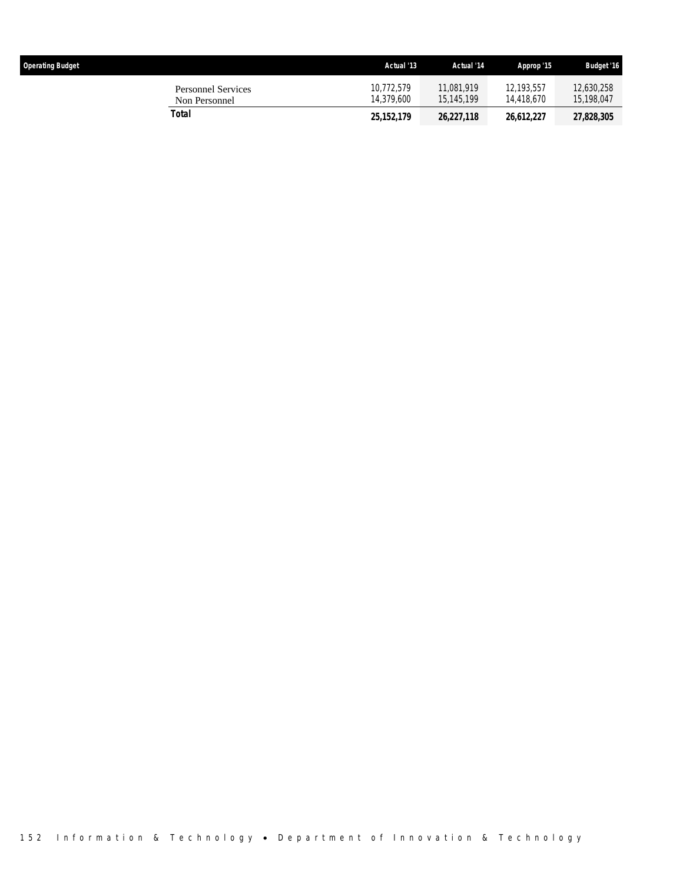| <b>Operating Budget</b>                    | Actual '13               | Actual '14               | Approp '15               | <b>Budget '16</b>        |
|--------------------------------------------|--------------------------|--------------------------|--------------------------|--------------------------|
| <b>Personnel Services</b><br>Non Personnel | 10.772.579<br>14.379.600 | 11.081.919<br>15.145.199 | 12.193.557<br>14,418,670 | 12,630,258<br>15,198,047 |
| Total                                      | 25, 152, 179             | 26,227,118               | 26.612.227               | 27,828,305               |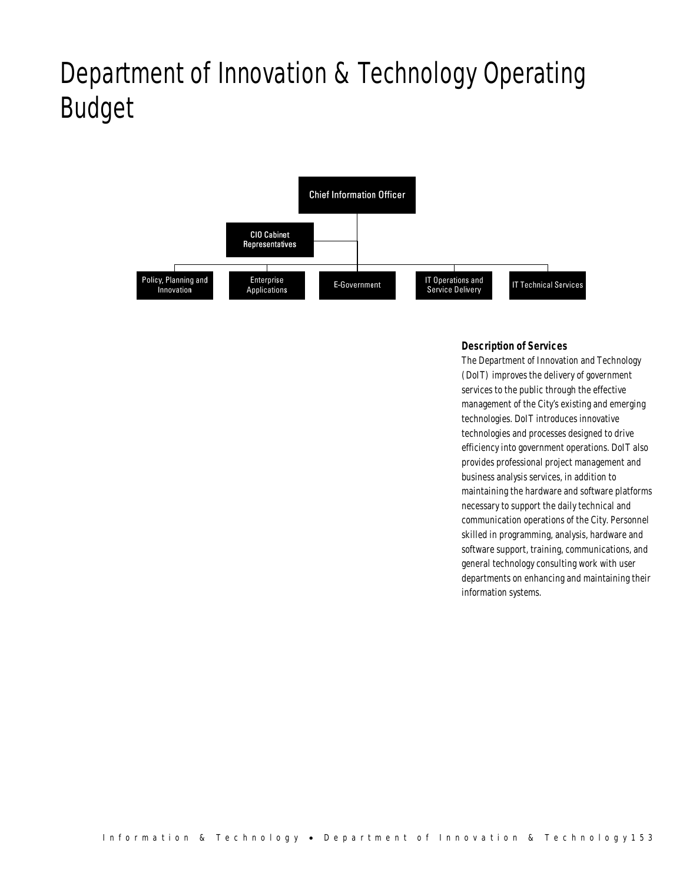# Department of Innovation & Technology Operating Budget



## *Description of Services*

The Department of Innovation and Technology (DoIT) improves the delivery of government services to the public through the effective management of the City's existing and emerging technologies. DoIT introduces innovative technologies and processes designed to drive efficiency into government operations. DoIT also provides professional project management and business analysis services, in addition to maintaining the hardware and software platforms necessary to support the daily technical and communication operations of the City. Personnel skilled in programming, analysis, hardware and software support, training, communications, and general technology consulting work with user departments on enhancing and maintaining their information systems.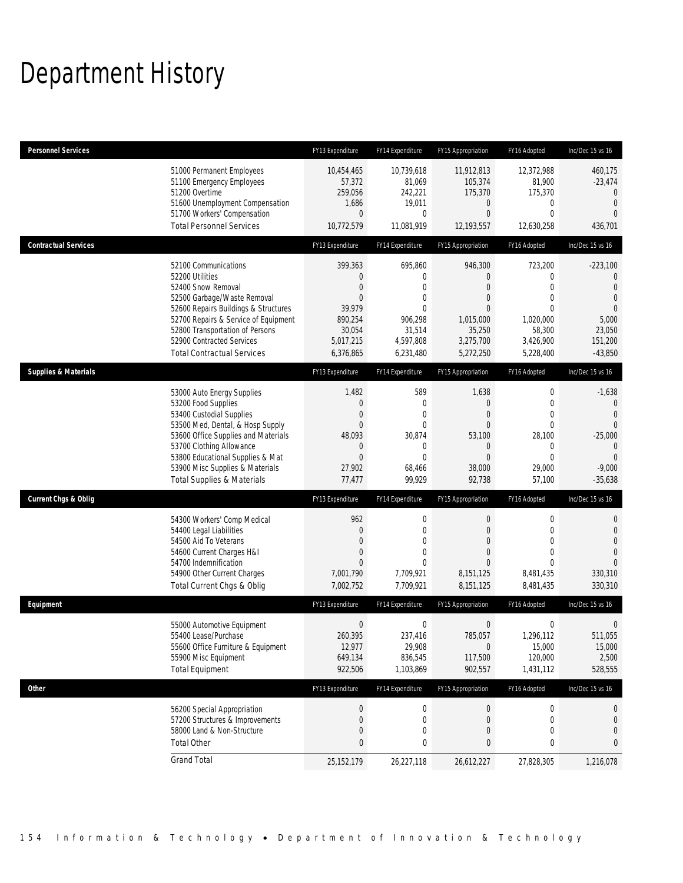# Department History

| <b>Personnel Services</b>       |                                                                                                                                                                                                                                                                                                      | FY13 Expenditure                                                                       | FY14 Expenditure                                                                                                     | FY15 Appropriation                                                                                            | FY16 Adopted                                                                        | Inc/Dec 15 vs 16                                                                                                        |
|---------------------------------|------------------------------------------------------------------------------------------------------------------------------------------------------------------------------------------------------------------------------------------------------------------------------------------------------|----------------------------------------------------------------------------------------|----------------------------------------------------------------------------------------------------------------------|---------------------------------------------------------------------------------------------------------------|-------------------------------------------------------------------------------------|-------------------------------------------------------------------------------------------------------------------------|
|                                 | 51000 Permanent Employees<br>51100 Emergency Employees<br>51200 Overtime<br>51600 Unemployment Compensation<br>51700 Workers' Compensation<br><b>Total Personnel Services</b>                                                                                                                        | 10,454,465<br>57,372<br>259,056<br>1,686<br>0<br>10,772,579                            | 10,739,618<br>81,069<br>242,221<br>19,011<br>0<br>11,081,919                                                         | 11,912,813<br>105,374<br>175,370<br>0<br>$\overline{0}$<br>12,193,557                                         | 12,372,988<br>81,900<br>175,370<br>0<br>0<br>12,630,258                             | 460,175<br>$-23,474$<br>$\mathbf{0}$<br>$\mathbf 0$<br>$\Omega$<br>436,701                                              |
| <b>Contractual Services</b>     |                                                                                                                                                                                                                                                                                                      | FY13 Expenditure                                                                       | FY14 Expenditure                                                                                                     | FY15 Appropriation                                                                                            | FY16 Adopted                                                                        | Inc/Dec 15 vs 16                                                                                                        |
|                                 | 52100 Communications<br>52200 Utilities<br>52400 Snow Removal<br>52500 Garbage/Waste Removal<br>52600 Repairs Buildings & Structures<br>52700 Repairs & Service of Equipment<br>52800 Transportation of Persons<br>52900 Contracted Services<br><b>Total Contractual Services</b>                    | 399,363<br>0<br>0<br>0<br>39,979<br>890,254<br>30,054<br>5,017,215<br>6,376,865        | 695,860<br>$\mathbf{0}$<br>$\overline{0}$<br>$\mathbf{0}$<br>$\Omega$<br>906,298<br>31,514<br>4,597,808<br>6,231,480 | 946,300<br>0<br>$\overline{0}$<br>$\overline{0}$<br>$\Omega$<br>1,015,000<br>35,250<br>3,275,700<br>5,272,250 | 723,200<br>0<br>0<br>0<br>$\Omega$<br>1,020,000<br>58,300<br>3,426,900<br>5,228,400 | $-223,100$<br>0<br>$\overline{0}$<br>$\overline{0}$<br>$\Omega$<br>5,000<br>23,050<br>151,200<br>$-43,850$              |
| <b>Supplies &amp; Materials</b> |                                                                                                                                                                                                                                                                                                      | FY13 Expenditure                                                                       | FY14 Expenditure                                                                                                     | FY15 Appropriation                                                                                            | FY16 Adopted                                                                        | Inc/Dec 15 vs 16                                                                                                        |
|                                 | 53000 Auto Energy Supplies<br>53200 Food Supplies<br>53400 Custodial Supplies<br>53500 Med, Dental, & Hosp Supply<br>53600 Office Supplies and Materials<br>53700 Clothing Allowance<br>53800 Educational Supplies & Mat<br>53900 Misc Supplies & Materials<br><b>Total Supplies &amp; Materials</b> | 1,482<br>$\boldsymbol{0}$<br>0<br>0<br>48,093<br>0<br>$\mathbf{0}$<br>27,902<br>77,477 | 589<br>$\mathbf 0$<br>$\overline{0}$<br>$\mathbf{0}$<br>30,874<br>$\mathbf 0$<br>$\mathbf{0}$<br>68,466<br>99,929    | 1,638<br>$\mathbf 0$<br>$\overline{0}$<br>$\overline{0}$<br>53,100<br>0<br>$\overline{0}$<br>38,000<br>92,738 | 0<br>0<br>0<br>0<br>28,100<br>0<br>0<br>29,000<br>57,100                            | $-1,638$<br>$\mathbf 0$<br>$\overline{0}$<br>$\Omega$<br>$-25,000$<br>$\mathbf{0}$<br>$\Omega$<br>$-9,000$<br>$-35,638$ |
| <b>Current Chgs &amp; Oblig</b> |                                                                                                                                                                                                                                                                                                      | FY13 Expenditure                                                                       | FY14 Expenditure                                                                                                     | FY15 Appropriation                                                                                            | FY16 Adopted                                                                        | Inc/Dec 15 vs 16                                                                                                        |
|                                 | 54300 Workers' Comp Medical<br>54400 Legal Liabilities<br>54500 Aid To Veterans<br>54600 Current Charges H&I<br>54700 Indemnification<br>54900 Other Current Charges<br>Total Current Chgs & Oblig                                                                                                   | 962<br>$\theta$<br>0<br>0<br>0<br>7,001,790<br>7,002,752                               | $\boldsymbol{0}$<br>$\mathbf{0}$<br>$\mathbf{0}$<br>$\overline{0}$<br>$\theta$<br>7,709,921<br>7,709,921             | $\boldsymbol{0}$<br>$\overline{0}$<br>$\overline{0}$<br>$\Omega$<br>$\Omega$<br>8,151,125<br>8,151,125        | 0<br>0<br>0<br>0<br>$\Omega$<br>8,481,435<br>8,481,435                              | 0<br>$\mathbf 0$<br>$\overline{0}$<br>$\Omega$<br>330,310<br>330,310                                                    |
| Equipment                       |                                                                                                                                                                                                                                                                                                      | FY13 Expenditure                                                                       | FY14 Expenditure                                                                                                     | FY15 Appropriation                                                                                            | FY16 Adopted                                                                        | Inc/Dec 15 vs 16                                                                                                        |
|                                 | 55000 Automotive Equipment<br>55400 Lease/Purchase<br>55600 Office Furniture & Equipment<br>55900 Misc Equipment<br><b>Total Equipment</b>                                                                                                                                                           | $\boldsymbol{0}$<br>260,395<br>12,977<br>649,134<br>922,506                            | $\boldsymbol{0}$<br>237.416<br>29,908<br>836,545<br>1,103,869                                                        | $\mathbf 0$<br>785,057<br>$\mathbf 0$<br>117,500<br>902,557                                                   | 0<br>1,296,112<br>15,000<br>120,000<br>1,431,112                                    | 0<br>511,055<br>15,000<br>2,500<br>528,555                                                                              |
| Other                           |                                                                                                                                                                                                                                                                                                      | FY13 Expenditure                                                                       | FY14 Expenditure                                                                                                     | FY15 Appropriation                                                                                            | FY16 Adopted                                                                        | Inc/Dec 15 vs 16                                                                                                        |
|                                 | 56200 Special Appropriation<br>57200 Structures & Improvements<br>58000 Land & Non-Structure                                                                                                                                                                                                         | $\pmb{0}$<br>$\mathbf 0$<br>0                                                          | 0<br>$\boldsymbol{0}$<br>$\boldsymbol{0}$                                                                            | 0<br>0<br>0                                                                                                   | 0<br>$\boldsymbol{0}$<br>0                                                          | $\theta$<br>$\mathbf 0$<br>$\mathbf 0$                                                                                  |
|                                 | <b>Total Other</b><br><b>Grand Total</b>                                                                                                                                                                                                                                                             | 0<br>25, 152, 179                                                                      | 0<br>26,227,118                                                                                                      | 0<br>26,612,227                                                                                               | 0<br>27,828,305                                                                     | $\mathbf{0}$<br>1,216,078                                                                                               |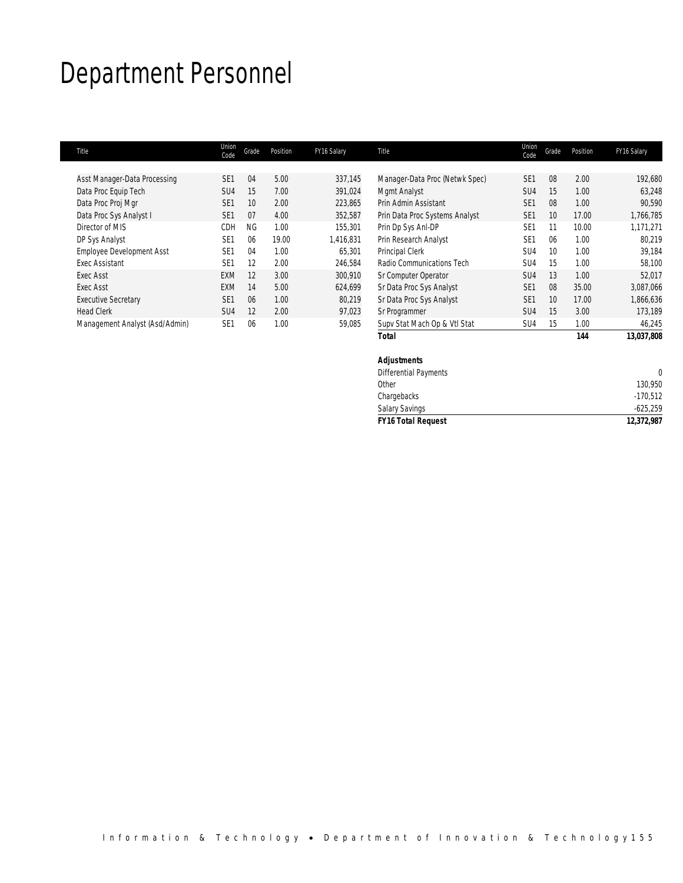# Department Personnel

| Title                            | Union<br>Code   | Grade     | Position | FY16 Salary | Title                          | Union<br>Code   | Grade           | Position | FY16 Salary |
|----------------------------------|-----------------|-----------|----------|-------------|--------------------------------|-----------------|-----------------|----------|-------------|
|                                  |                 |           |          |             |                                |                 |                 |          |             |
| Asst Manager-Data Processing     | SF <sub>1</sub> | 04        | 5.00     | 337,145     | Manager-Data Proc (Netwk Spec) | SE <sub>1</sub> | 08              | 2.00     | 192,680     |
| Data Proc Equip Tech             | SU <sub>4</sub> | 15        | 7.00     | 391,024     | Mgmt Analyst                   | SU <sub>4</sub> | 15              | 1.00     | 63,248      |
| Data Proc Proj Mgr               | SE <sub>1</sub> | 10        | 2.00     | 223,865     | Prin Admin Assistant           | SE <sub>1</sub> | 08              | 1.00     | 90,590      |
| Data Proc Sys Analyst I          | SE <sub>1</sub> | 07        | 4.00     | 352,587     | Prin Data Proc Systems Analyst | SE <sub>1</sub> | 10 <sup>1</sup> | 17.00    | 1,766,785   |
| Director of MIS                  | CDH             | <b>NG</b> | 1.00     | 155.301     | Prin Dp Sys Anl-DP             | SE <sub>1</sub> | 11              | 10.00    | 1,171,271   |
| DP Sys Analyst                   | SE <sub>1</sub> | 06        | 19.00    | 1,416,831   | Prin Research Analyst          | SE <sub>1</sub> | 06              | 1.00     | 80,219      |
| <b>Employee Development Asst</b> | SE <sub>1</sub> | 04        | 1.00     | 65,301      | Principal Clerk                | SU <sub>4</sub> | 10              | 1.00     | 39,184      |
| Exec Assistant                   | SF <sub>1</sub> | 12        | 2.00     | 246,584     | Radio Communications Tech      | SU <sub>4</sub> | 15              | 1.00     | 58,100      |
| Exec Asst                        | <b>EXM</b>      | 12        | 3.00     | 300,910     | Sr Computer Operator           | SU <sub>4</sub> | 13              | 1.00     | 52,017      |
| Exec Asst                        | <b>EXM</b>      | 14        | 5.00     | 624,699     | Sr Data Proc Sys Analyst       | SE <sub>1</sub> | 08              | 35.00    | 3,087,066   |
| <b>Executive Secretary</b>       | SE <sub>1</sub> | 06        | 1.00     | 80,219      | Sr Data Proc Sys Analyst       | SE <sub>1</sub> | 10              | 17.00    | 1,866,636   |
| <b>Head Clerk</b>                | SU <sub>4</sub> | 12        | 2.00     | 97,023      | Sr Programmer                  | SU <sub>4</sub> | 15              | 3.00     | 173,189     |
| Management Analyst (Asd/Admin)   | SE <sub>1</sub> | 06        | 1.00     | 59,085      | Supv Stat Mach Op & Vtl Stat   | SU <sub>4</sub> | 15              | 1.00     | 46,245      |
|                                  |                 |           |          |             | Total                          |                 |                 | 144      | 13,037,808  |

| Chargebacks<br><b>Salary Savings</b> | $-170,512$<br>$-625,259$ |
|--------------------------------------|--------------------------|
|                                      |                          |
|                                      |                          |
| Other                                | 130,950                  |
| <b>Differential Payments</b>         |                          |
| <b>Adjustments</b>                   |                          |
|                                      |                          |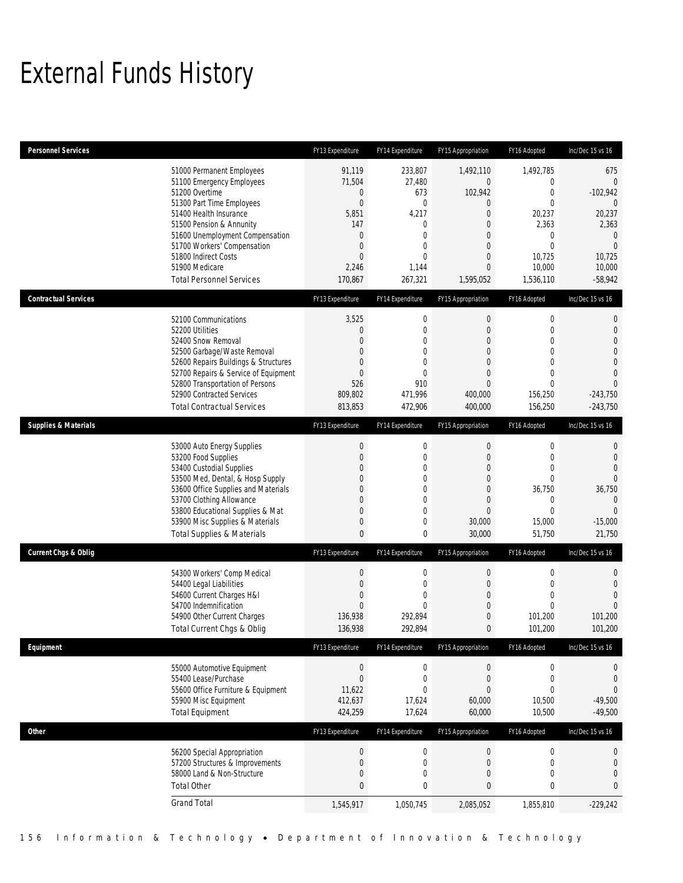## External Funds History

| <b>Personnel Services</b>       |                                                                                                                                                                                                                                                                                                            | FY13 Expenditure                                                                                                                                 | FY14 Expenditure                                                                                                 | FY15 Appropriation                                                                                                                                                 | FY16 Adopted                                                                                                                       | Inc/Dec 15 vs 16                                                                                                                            |
|---------------------------------|------------------------------------------------------------------------------------------------------------------------------------------------------------------------------------------------------------------------------------------------------------------------------------------------------------|--------------------------------------------------------------------------------------------------------------------------------------------------|------------------------------------------------------------------------------------------------------------------|--------------------------------------------------------------------------------------------------------------------------------------------------------------------|------------------------------------------------------------------------------------------------------------------------------------|---------------------------------------------------------------------------------------------------------------------------------------------|
|                                 | 51000 Permanent Employees<br>51100 Emergency Employees<br>51200 Overtime<br>51300 Part Time Employees<br>51400 Health Insurance<br>51500 Pension & Annunity<br>51600 Unemployment Compensation<br>51700 Workers' Compensation<br>51800 Indirect Costs<br>51900 Medicare<br><b>Total Personnel Services</b> | 91,119<br>71,504<br>0<br>$\boldsymbol{0}$<br>5,851<br>147<br>$\overline{0}$<br>$\overline{0}$<br>$\mathbf{0}$<br>2,246<br>170,867                | 233,807<br>27,480<br>673<br>$\mathbf 0$<br>4,217<br>0<br>$\mathbf{0}$<br>0<br>$\overline{0}$<br>1,144<br>267,321 | 1,492,110<br>$\mathbf 0$<br>102,942<br>$\boldsymbol{0}$<br>$\mathbf 0$<br>$\mathbf{0}$<br>$\overline{0}$<br>$\overline{0}$<br>$\mathbf 0$<br>$\theta$<br>1,595,052 | 1,492,785<br>0<br>$\mathbf{0}$<br>$\mathbf{0}$<br>20,237<br>2,363<br>$\mathbf{0}$<br>$\mathbf{0}$<br>10,725<br>10,000<br>1,536,110 | 675<br>$\overline{0}$<br>$-102,942$<br>$\mathbf{0}$<br>20,237<br>2,363<br>$\mathbf 0$<br>$\overline{0}$<br>10,725<br>10,000<br>$-58,942$    |
| <b>Contractual Services</b>     |                                                                                                                                                                                                                                                                                                            | FY13 Expenditure                                                                                                                                 | FY14 Expenditure                                                                                                 | FY15 Appropriation                                                                                                                                                 | FY16 Adopted                                                                                                                       | Inc/Dec 15 vs 16                                                                                                                            |
|                                 | 52100 Communications<br>52200 Utilities<br>52400 Snow Removal<br>52500 Garbage/Waste Removal<br>52600 Repairs Buildings & Structures<br>52700 Repairs & Service of Equipment<br>52800 Transportation of Persons<br>52900 Contracted Services<br><b>Total Contractual Services</b>                          | 3,525<br>0<br>$\overline{0}$<br>$\overline{0}$<br>$\overline{0}$<br>$\overline{0}$<br>526<br>809,802<br>813,853                                  | $\mathbf 0$<br>$\mathbf 0$<br>0<br>0<br>$\mathbf{0}$<br>0<br>910<br>471,996<br>472,906                           | $\boldsymbol{0}$<br>$\mathbf{0}$<br>$\mathbf{0}$<br>$\mathbf{0}$<br>$\mathbf{0}$<br>$\overline{0}$<br>$\overline{0}$<br>400,000<br>400,000                         | 0<br>$\mathbf{0}$<br>$\mathbf{0}$<br>$\mathbf{0}$<br>$\mathbf{0}$<br>$\mathbf{0}$<br>$\mathbf{0}$<br>156,250<br>156,250            | 0<br>$\boldsymbol{0}$<br>$\boldsymbol{0}$<br>$\boldsymbol{0}$<br>$\boldsymbol{0}$<br>$\overline{0}$<br>$\theta$<br>$-243,750$<br>$-243,750$ |
| <b>Supplies &amp; Materials</b> |                                                                                                                                                                                                                                                                                                            | FY13 Expenditure                                                                                                                                 | FY14 Expenditure                                                                                                 | FY15 Appropriation                                                                                                                                                 | FY16 Adopted                                                                                                                       | Inc/Dec 15 vs 16                                                                                                                            |
|                                 | 53000 Auto Energy Supplies<br>53200 Food Supplies<br>53400 Custodial Supplies<br>53500 Med, Dental, & Hosp Supply<br>53600 Office Supplies and Materials<br>53700 Clothing Allowance<br>53800 Educational Supplies & Mat<br>53900 Misc Supplies & Materials<br><b>Total Supplies &amp; Materials</b>       | $\boldsymbol{0}$<br>$\overline{0}$<br>$\overline{0}$<br>$\overline{0}$<br>$\overline{0}$<br>$\overline{0}$<br>$\overline{0}$<br>$\mathbf 0$<br>0 | 0<br>$\mathbf 0$<br>0<br>0<br>0<br>0<br>0<br>0<br>0                                                              | $\boldsymbol{0}$<br>$\mathbf{0}$<br>$\mathbf{0}$<br>$\mathbf 0$<br>$\mathbf{0}$<br>$\overline{0}$<br>$\overline{0}$<br>30,000<br>30,000                            | 0<br>$\mathbf{0}$<br>$\mathbf{0}$<br>$\mathbf{0}$<br>36,750<br>$\mathbf 0$<br>$\Omega$<br>15,000<br>51,750                         | 0<br>$\theta$<br>$\boldsymbol{0}$<br>$\mathbf{0}$<br>36,750<br>$\mathbf{0}$<br>$\Omega$<br>$-15,000$<br>21,750                              |
| <b>Current Chgs &amp; Oblig</b> |                                                                                                                                                                                                                                                                                                            | FY13 Expenditure                                                                                                                                 | FY14 Expenditure                                                                                                 | FY15 Appropriation                                                                                                                                                 | FY16 Adopted                                                                                                                       | Inc/Dec 15 vs 16                                                                                                                            |
|                                 | 54300 Workers' Comp Medical<br>54400 Legal Liabilities<br>54600 Current Charges H&I<br>54700 Indemnification<br>54900 Other Current Charges<br><b>Total Current Chgs &amp; Oblig</b>                                                                                                                       | $\boldsymbol{0}$<br>0<br>$\mathbf{0}$<br>$\overline{0}$<br>136,938<br>136,938                                                                    | $\mathbf 0$<br>$\mathbf{0}$<br>0<br>0<br>292,894<br>292,894                                                      | $\boldsymbol{0}$<br>$\mathbf 0$<br>$\mathbf 0$<br>$\mathbf{0}$<br>$\mathbf{0}$<br>$\bf{0}$                                                                         | $\mathbf 0$<br>$\mathbf{0}$<br>$\mathbf{0}$<br>$\mathbf{0}$<br>101,200<br>101,200                                                  | 0<br>$\mathbf 0$<br>$\mathbf{0}$<br>$\mathbf{0}$<br>101,200<br>101,200                                                                      |
| Equipment                       |                                                                                                                                                                                                                                                                                                            | FY13 Expenditure                                                                                                                                 | FY14 Expenditure                                                                                                 | FY15 Appropriation                                                                                                                                                 | FY16 Adopted                                                                                                                       | Inc/Dec 15 vs 16                                                                                                                            |
|                                 | 55000 Automotive Equipment<br>55400 Lease/Purchase<br>55600 Office Furniture & Equipment<br>55900 Misc Equipment<br><b>Total Equipment</b>                                                                                                                                                                 | $\boldsymbol{0}$<br>$\boldsymbol{0}$<br>11,622<br>412,637<br>424,259                                                                             | $\boldsymbol{0}$<br>$\mathbf 0$<br>$\mathbf 0$<br>17,624<br>17,624                                               | $\boldsymbol{0}$<br>$\boldsymbol{0}$<br>$\boldsymbol{0}$<br>60,000<br>60,000                                                                                       | $\mathbf 0$<br>$\boldsymbol{0}$<br>$\mathbf{0}$<br>10,500<br>10,500                                                                | 0<br>$\theta$<br>$\theta$<br>$-49,500$<br>$-49,500$                                                                                         |
| Other                           |                                                                                                                                                                                                                                                                                                            | FY13 Expenditure                                                                                                                                 | FY14 Expenditure                                                                                                 | FY15 Appropriation                                                                                                                                                 | FY16 Adopted                                                                                                                       | Inc/Dec 15 vs 16                                                                                                                            |
|                                 | 56200 Special Appropriation<br>57200 Structures & Improvements<br>58000 Land & Non-Structure<br><b>Total Other</b>                                                                                                                                                                                         | $\boldsymbol{0}$<br>$\mathbf 0$<br>$\boldsymbol{0}$<br>$\bf 0$                                                                                   | $\boldsymbol{0}$<br>$\mathbf 0$<br>$\mathbf 0$<br>0                                                              | $\boldsymbol{0}$<br>$\mathbf 0$<br>$\boldsymbol{0}$<br>$\pmb{0}$                                                                                                   | $\boldsymbol{0}$<br>$\mathbf 0$<br>$\mathbf 0$<br>$\pmb{0}$                                                                        | $\mathbf 0$<br>$\bf{0}$<br>$\mathbf 0$<br>$\pmb{0}$                                                                                         |
|                                 | <b>Grand Total</b>                                                                                                                                                                                                                                                                                         | 1,545,917                                                                                                                                        | 1,050,745                                                                                                        | 2,085,052                                                                                                                                                          | 1,855,810                                                                                                                          | $-229,242$                                                                                                                                  |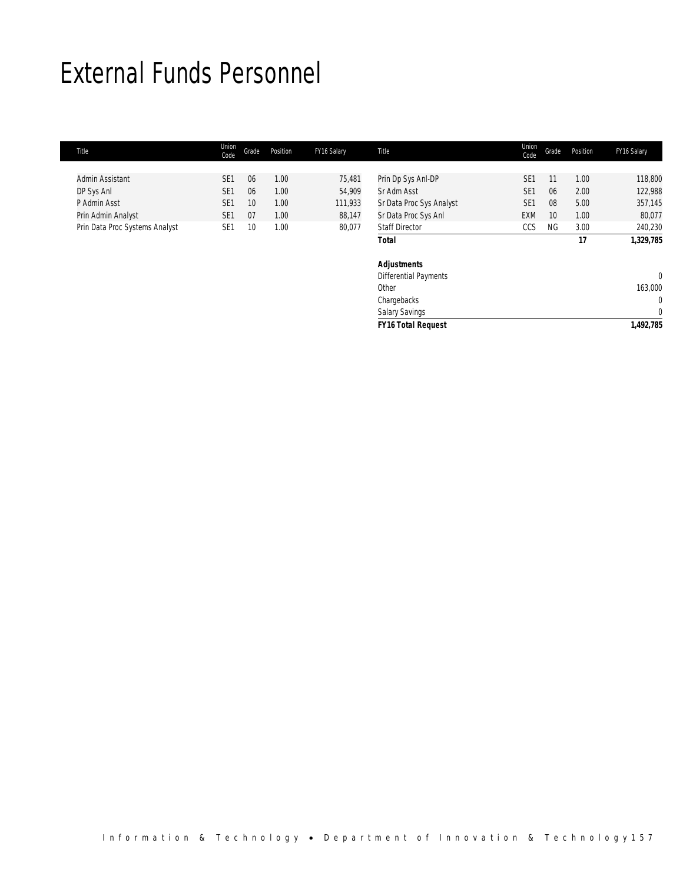## External Funds Personnel

| <b>Title</b>                   | Union<br>Code   | Grade           | Position          | FY16 Salary | Title                    | Union<br>Code   | Grade     | Position | FY16 Salary |
|--------------------------------|-----------------|-----------------|-------------------|-------------|--------------------------|-----------------|-----------|----------|-------------|
|                                |                 |                 |                   |             |                          |                 |           |          |             |
| Admin Assistant                | SE <sub>1</sub> | 06              | 1.00              | 75,481      | Prin Dp Sys Anl-DP       | SE <sub>1</sub> |           | 1.00     | 118,800     |
| DP Sys Anl                     | SE <sub>1</sub> | 06              | 1.00              | 54.909      | Sr Adm Asst              | SE <sub>1</sub> | 06        | 2.00     | 122,988     |
| P Admin Asst                   | SE <sub>1</sub> | 10 <sup>°</sup> | 1.00              | 111,933     | Sr Data Proc Sys Analyst | SE <sub>1</sub> | 08        | 5.00     | 357,145     |
| Prin Admin Analyst             | SE <sub>1</sub> | 07              | 1.00              | 88,147      | Sr Data Proc Sys Anl     | <b>EXM</b>      | 10        | 1.00     | 80,077      |
| Prin Data Proc Systems Analyst | SE1             | 10              | 1.00 <sub>1</sub> | 80,077      | <b>Staff Director</b>    | CCS             | <b>NG</b> | 3.00     | 240,230     |
|                                |                 |                 |                   |             | Total                    |                 |           | 17       | 1,329,785   |
|                                |                 |                 |                   |             | <b>Adjustments</b>       |                 |           |          |             |

| <b>FY16 Total Request</b>    | 1,492,785 |
|------------------------------|-----------|
| <b>Salary Savings</b>        |           |
| Chargebacks                  |           |
| Other                        | 163,000   |
| <b>Differential Payments</b> |           |
| <b>Adjustments</b>           |           |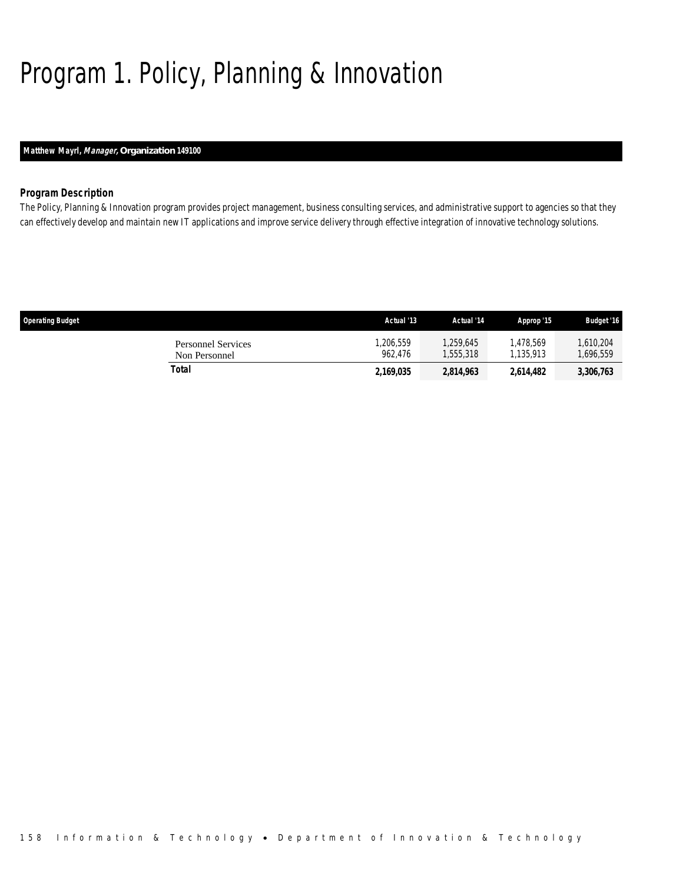# Program 1. Policy, Planning & Innovation

## *Matthew Mayrl, Manager, Organization 149100*

## *Program Description*

The Policy, Planning & Innovation program provides project management, business consulting services, and administrative support to agencies so that they can effectively develop and maintain new IT applications and improve service delivery through effective integration of innovative technology solutions.

| <b>Operating Budget</b>             | Actual '13          | Actual '14             | Approp '15            | <b>Budget '16</b>    |
|-------------------------------------|---------------------|------------------------|-----------------------|----------------------|
| Personnel Services<br>Non Personnel | ,206,559<br>962.476 | 1.259.645<br>1,555,318 | .478.569<br>1.135.913 | 1.610.204<br>696,559 |
| Total                               | 2,169,035           | 2,814,963              | 2,614,482             | 3,306,763            |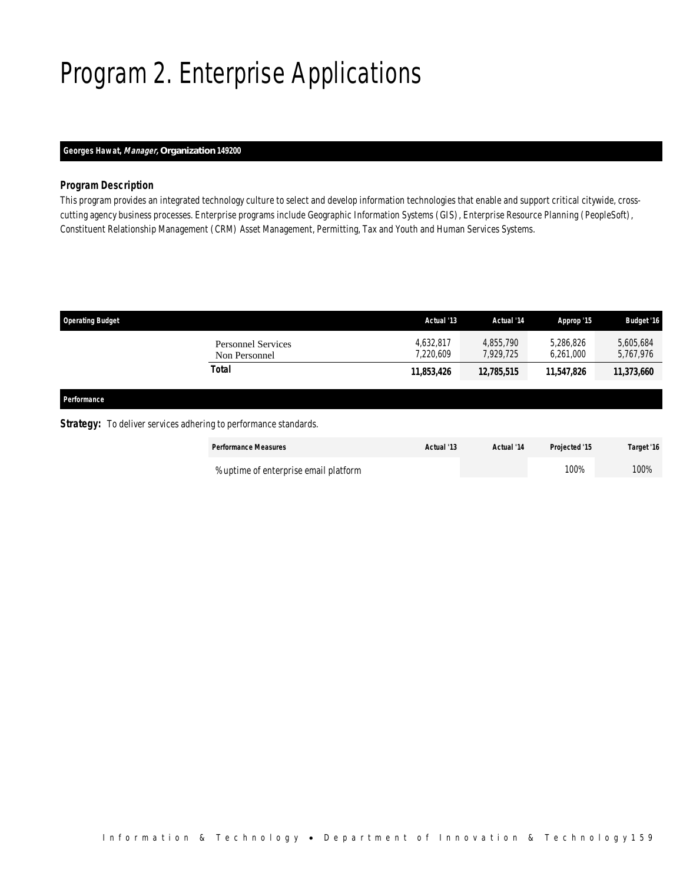# Program 2. Enterprise Applications

## *Georges Hawat, Manager, Organization 149200*

## *Program Description*

This program provides an integrated technology culture to select and develop information technologies that enable and support critical citywide, crosscutting agency business processes. Enterprise programs include Geographic Information Systems (GIS), Enterprise Resource Planning (PeopleSoft), Constituent Relationship Management (CRM) Asset Management, Permitting, Tax and Youth and Human Services Systems.

| <b>Operating Budget</b> |                                                                         | Actual '13             | Actual '14             | Approp '15             | <b>Budget '16</b>      |
|-------------------------|-------------------------------------------------------------------------|------------------------|------------------------|------------------------|------------------------|
|                         | <b>Personnel Services</b><br>Non Personnel                              | 4,632,817<br>7,220,609 | 4.855.790<br>7,929,725 | 5,286,826<br>6,261,000 | 5,605,684<br>5,767,976 |
|                         | <b>Total</b>                                                            | 11,853,426             | 12,785,515             | 11,547,826             | 11,373,660             |
| Performance             |                                                                         |                        |                        |                        |                        |
|                         | <b>Strategy:</b> To deliver services adhering to performance standards. |                        |                        |                        |                        |

| <b>Performance Measures</b>           | Actual '13 | Actual '14 | <b>Projected '15</b> | Target '16 |
|---------------------------------------|------------|------------|----------------------|------------|
| % uptime of enterprise email platform |            |            | 100%                 | 100%       |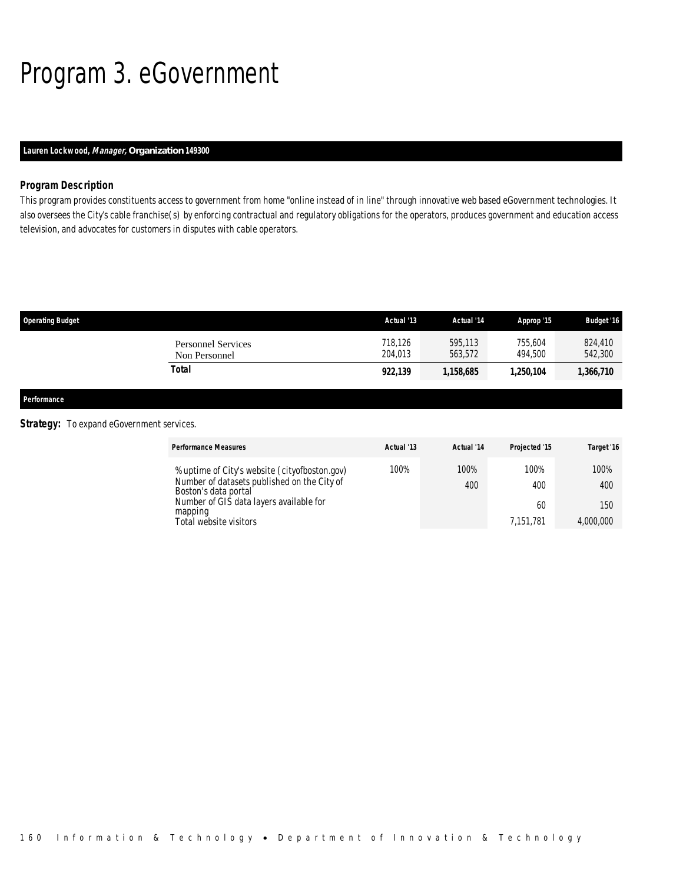# Program 3. eGovernment

## *Lauren Lockwood, Manager, Organization 149300*

### *Program Description*

This program provides constituents access to government from home "online instead of in line" through innovative web based eGovernment technologies. It also oversees the City's cable franchise(s) by enforcing contractual and regulatory obligations for the operators, produces government and education access television, and advocates for customers in disputes with cable operators.

| <b>Operating Budget</b>                    | Actual '13         | Actual '14         | Approp '15         | <b>Budget '16</b>  |
|--------------------------------------------|--------------------|--------------------|--------------------|--------------------|
| <b>Personnel Services</b><br>Non Personnel | 718.126<br>204,013 | 595,113<br>563.572 | 755.604<br>494.500 | 824,410<br>542,300 |
| Total                                      | 922,139            | 1,158,685          | 1,250,104          | 1,366,710          |
|                                            |                    |                    |                    |                    |

*Performance* 

## **Strategy:** To expand eGovernment services.

| <b>Performance Measures</b>                                                                                          | Actual '13 | Actual '14  | Projected '15 | Target '16  |
|----------------------------------------------------------------------------------------------------------------------|------------|-------------|---------------|-------------|
| % uptime of City's website (cityofboston.gov)<br>Number of datasets published on the City of<br>Boston's data portal | 100%       | 100%<br>400 | 100%<br>400   | 100%<br>400 |
| Number of GIS data layers available for<br>mapping                                                                   |            |             | 60            | 150         |
| Total website visitors                                                                                               |            |             | 7.151.781     | 4,000,000   |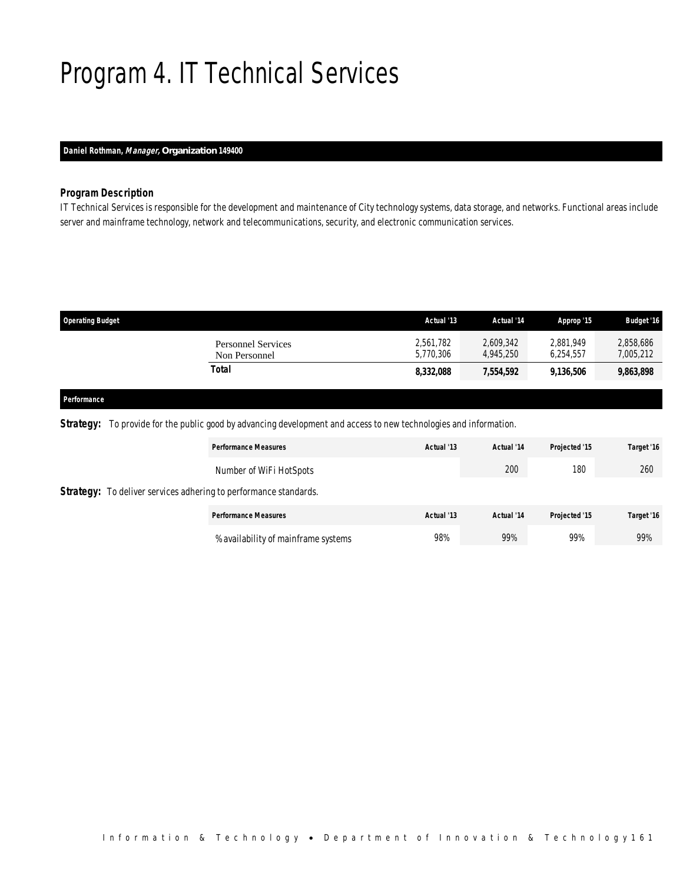# Program 4. IT Technical Services

## *Daniel Rothman, Manager, Organization 149400*

## *Program Description*

IT Technical Services is responsible for the development and maintenance of City technology systems, data storage, and networks. Functional areas include server and mainframe technology, network and telecommunications, security, and electronic communication services.

| <b>Operating Budget</b>                    | Actual '13             | Actual '14             | Approp '15             | <b>Budget '16</b>      |
|--------------------------------------------|------------------------|------------------------|------------------------|------------------------|
| <b>Personnel Services</b><br>Non Personnel | 2,561,782<br>5,770,306 | 2,609,342<br>4.945.250 | 2.881.949<br>6.254.557 | 2,858,686<br>7,005,212 |
| Total                                      | 8,332,088              | 7,554,592              | 9,136,506              | 9,863,898              |
|                                            |                        |                        |                        |                        |

#### *Performance*

*Strategy:* To provide for the public good by advancing development and access to new technologies and information.

|                                                                         | <b>Performance Measures</b>         | Actual '13 | Actual '14 | Projected '15 | Target '16 |
|-------------------------------------------------------------------------|-------------------------------------|------------|------------|---------------|------------|
|                                                                         | Number of WiFi HotSpots             |            | 200        | 180           | 260        |
| <b>Strategy:</b> To deliver services adhering to performance standards. |                                     |            |            |               |            |
|                                                                         | <b>Performance Measures</b>         | Actual '13 | Actual '14 | Projected '15 | Target '16 |
|                                                                         | % availability of mainframe systems | 98%        | 99%        | 99%           | 99%        |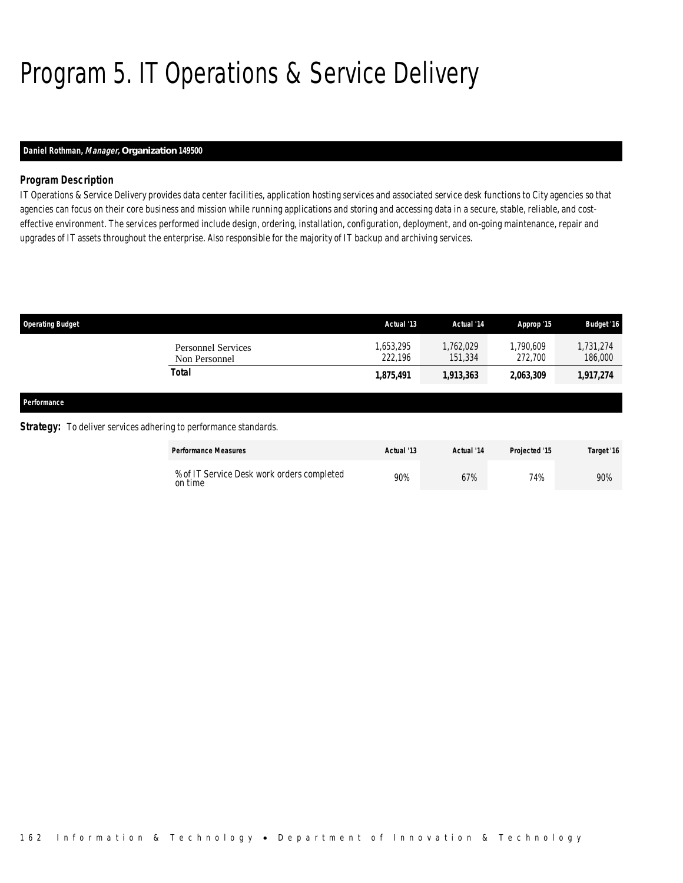# Program 5. IT Operations & Service Delivery

## *Daniel Rothman, Manager, Organization 149500*

## *Program Description*

IT Operations & Service Delivery provides data center facilities, application hosting services and associated service desk functions to City agencies so that agencies can focus on their core business and mission while running applications and storing and accessing data in a secure, stable, reliable, and costeffective environment. The services performed include design, ordering, installation, configuration, deployment, and on-going maintenance, repair and upgrades of IT assets throughout the enterprise. Also responsible for the majority of IT backup and archiving services.

| <b>Operating Budget</b> |                                                                         | Actual '13           | Actual '14           | Approp '15           | <b>Budget '16</b>    |
|-------------------------|-------------------------------------------------------------------------|----------------------|----------------------|----------------------|----------------------|
|                         | <b>Personnel Services</b><br>Non Personnel                              | 1,653,295<br>222.196 | 1,762,029<br>151,334 | 1,790,609<br>272,700 | 1,731,274<br>186,000 |
|                         | <b>Total</b>                                                            | 1,875,491            | 1,913,363            | 2,063,309            | 1,917,274            |
| Performance             |                                                                         |                      |                      |                      |                      |
|                         | <b>Strategy:</b> To deliver services adhering to performance standards. |                      |                      |                      |                      |

| <b>Performance Measures</b>                           | Actual '13 | Actual '14 | Projected '15 | Target '16 |
|-------------------------------------------------------|------------|------------|---------------|------------|
| % of IT Service Desk work orders completed<br>on time | 90%        | 67%        | 74%           | 90%        |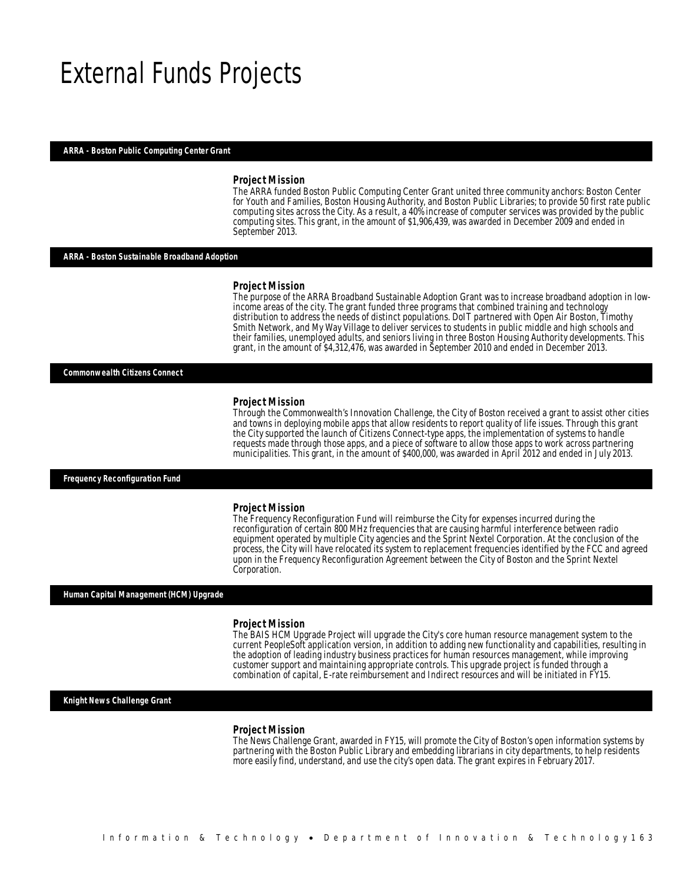## External Funds Projects

#### *ARRA - Boston Public Computing Center Grant*

#### *Project Mission*

The ARRA funded Boston Public Computing Center Grant united three community anchors: Boston Center for Youth and Families, Boston Housing Authority, and Boston Public Libraries; to provide 50 first rate public computing sites across the City. As a result, a 40% increase of computer services was provided by the public computing sites. This grant, in the amount of \$1,906,439, was awarded in December 2009 and ended in September 2013.

#### *ARRA - Boston Sustainable Broadband Adoption*

#### *Project Mission*

The purpose of the ARRA Broadband Sustainable Adoption Grant was to increase broadband adoption in lowincome areas of the city. The grant funded three programs that combined training and technology distribution to address the needs of distinct populations. DoIT partnered with Open Air Boston, Timothy Smith Network, and My Way Village to deliver services to students in public middle and high schools and their families, unemployed adults, and seniors living in three Boston Housing Authority developments. This grant, in the amount of \$4,312,476, was awarded in September 2010 and ended in December 2013.

*Commonwealth Citizens Connect* 

#### *Project Mission*

Ì

Through the Commonwealth's Innovation Challenge, the City of Boston received a grant to assist other cities and towns in deploying mobile apps that allow residents to report quality of life issues. Through this grant the City supported the launch of Citizens Connect-type apps, the implementation of systems to handle requests made through those apps, and a piece of software to allow those apps to work across partnering municipalities. This grant, in the amount of \$400,000, was awarded in April 2012 and ended in July 2013.

*Frequency Reconfiguration Fund* 

#### *Project Mission*

The Frequency Reconfiguration Fund will reimburse the City for expenses incurred during the reconfiguration of certain 800 MHz frequencies that are causing harmful interference between radio equipment operated by multiple City agencies and the Sprint Nextel Corporation. At the conclusion of the process, the City will have relocated its system to replacement frequencies identified by the FCC and agreed upon in the Frequency Reconfiguration Agreement between the City of Boston and the Sprint Nextel Corporation.

#### *Human Capital Management (HCM) Upgrade*

#### *Project Mission*

The BAIS HCM Upgrade Project will upgrade the City's core human resource management system to the current PeopleSoft application version, in addition to adding new functionality and capabilities, resulting in the adoption of leading industry business practices for human resources management, while improving customer support and maintaining appropriate controls. This upgrade project is funded through a combination of capital, E-rate reimbursement and Indirect resources and will be initiated in FY15.

#### *Knight News Challenge Grant*

#### *Project Mission*

The News Challenge Grant, awarded in FY15, will promote the City of Boston's open information systems by partnering with the Boston Public Library and embedding librarians in city departments, to help residents more easily find, understand, and use the city's open data. The grant expires in February 2017.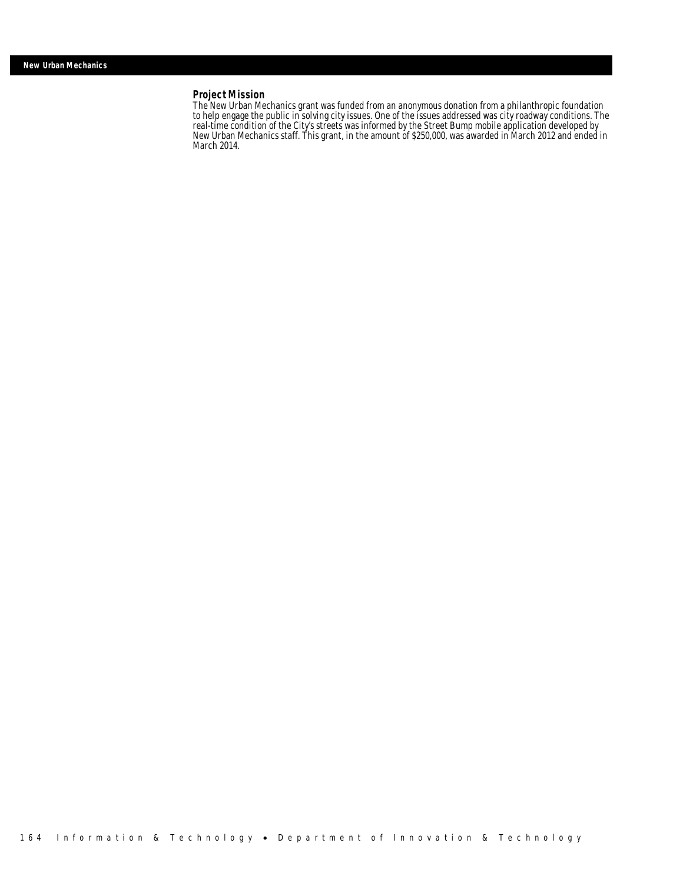## *Project Mission*

The New Urban Mechanics grant was funded from an anonymous donation from a philanthropic foundation to help engage the public in solving city issues. One of the issues addressed was city roadway conditions. The real-time condition of the City's streets was informed by the Street Bump mobile application developed by New Urban Mechanics staff. This grant, in the amount of \$250,000, was awarded in March 2012 and ended in March 2014.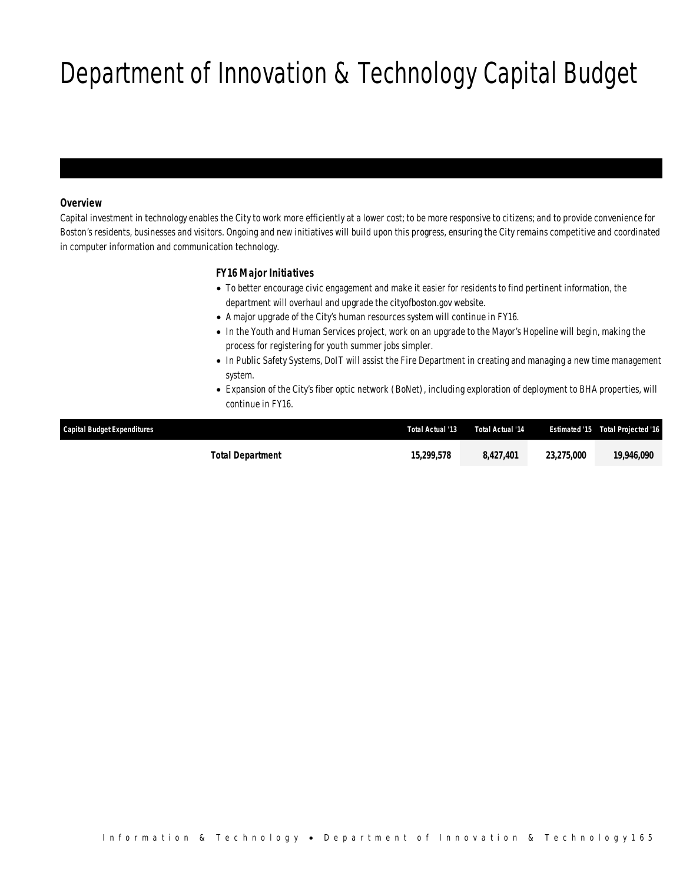# Department of Innovation & Technology Capital Budget

## *Overview*

Capital investment in technology enables the City to work more efficiently at a lower cost; to be more responsive to citizens; and to provide convenience for Boston's residents, businesses and visitors. Ongoing and new initiatives will build upon this progress, ensuring the City remains competitive and coordinated in computer information and communication technology.

## *FY16 Major Initiatives*

- To better encourage civic engagement and make it easier for residents to find pertinent information, the department will overhaul and upgrade the cityofboston.gov website.
- A major upgrade of the City's human resources system will continue in FY16.
- In the Youth and Human Services project, work on an upgrade to the Mayor's Hopeline will begin, making the process for registering for youth summer jobs simpler.
- In Public Safety Systems, DoIT will assist the Fire Department in creating and managing a new time management system.
- Expansion of the City's fiber optic network (BoNet), including exploration of deployment to BHA properties, will continue in FY16.

| Capital Budget Expenditures | Total Actual '13 | Total Actual '14 |            | <b>Estimated '15 Total Projected '16</b> |
|-----------------------------|------------------|------------------|------------|------------------------------------------|
| <b>Total Department</b>     | 15,299,578       | 8.427.401        | 23.275.000 | 19,946,090                               |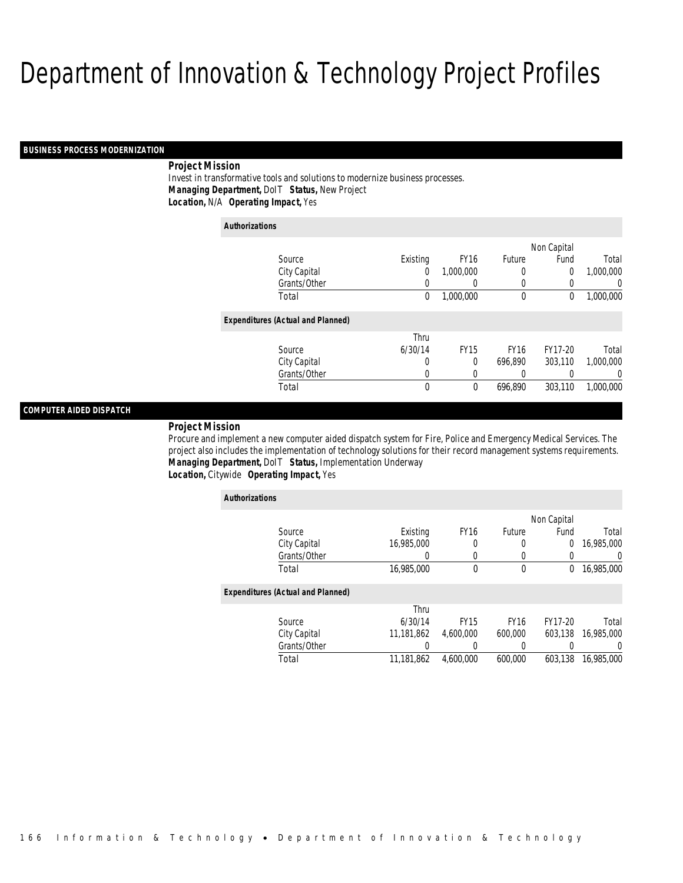#### *BUSINESS PROCESS MODERNIZATION*

## *Project Mission*

Invest in transformative tools and solutions to modernize business processes. *Managing Department,* DoIT *Status,* New Project*Location,* N/A *Operating Impact,* Yes

| <b>Authorizations</b>                    |             |             |             |             |           |
|------------------------------------------|-------------|-------------|-------------|-------------|-----------|
|                                          |             |             |             | Non Capital |           |
| Source                                   | Existing    | <b>FY16</b> | Future      | Fund        | Total     |
| City Capital                             | 0           | 1,000,000   | 0           | 0           | 1,000,000 |
| Grants/Other                             | 0           | 0           | 0           | 0           | 0         |
| Total                                    | $\mathbf 0$ | 1,000,000   | $\mathbf 0$ | $\mathbf 0$ | 1,000,000 |
| <b>Expenditures (Actual and Planned)</b> |             |             |             |             |           |
|                                          | Thru        |             |             |             |           |
| Source                                   | 6/30/14     | <b>FY15</b> | <b>FY16</b> | FY17-20     | Total     |
| City Capital                             | 0           | $\Omega$    | 696,890     | 303,110     | 1.000.000 |
| Grants/Other                             | 0           | 0           | 0           | 0           | 0         |
| Total                                    | 0           | $\theta$    | 696,890     | 303,110     | 1,000,000 |

### *COMPUTER AIDED DISPATCH*

#### *Project Mission*

Procure and implement a new computer aided dispatch system for Fire, Police and Emergency Medical Services. The project also includes the implementation of technology solutions for their record management systems requirements. *Managing Department,* DoIT *Status,* Implementation Underway*Location,* Citywide *Operating Impact,* Yes

| <b>Authorizations</b>                    |            |             |             |             |            |
|------------------------------------------|------------|-------------|-------------|-------------|------------|
|                                          |            |             |             | Non Capital |            |
| Source                                   | Existing   | <b>FY16</b> | Future      | Fund        | Total      |
| City Capital                             | 16,985,000 | 0           | 0           | 0           | 16,985,000 |
| Grants/Other                             |            | 0           | 0           |             | $\Omega$   |
| Total                                    | 16,985,000 | 0           | 0           | 0           | 16,985,000 |
| <b>Expenditures (Actual and Planned)</b> |            |             |             |             |            |
|                                          | Thru       |             |             |             |            |
| Source                                   | 6/30/14    | <b>FY15</b> | <b>FY16</b> | FY17-20     | Total      |
| City Capital                             | 11,181,862 | 4.600.000   | 600,000     | 603.138     | 16,985,000 |
| Grants/Other                             | 0          |             | 0           |             | 0          |
| Total                                    | 11.181.862 | 4.600.000   | 600.000     | 603.138     | 16,985,000 |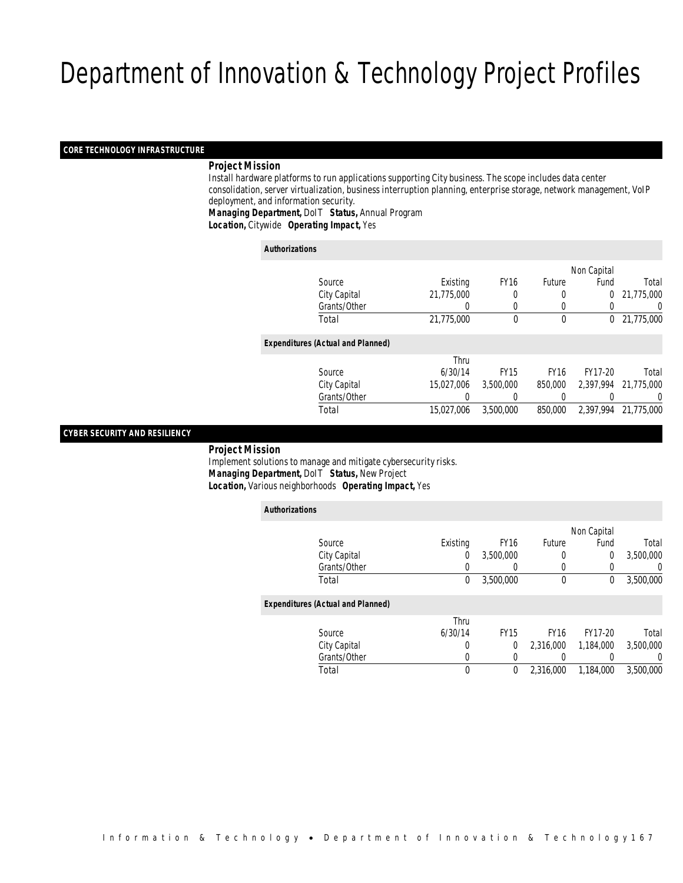#### *CORE TECHNOLOGY INFRASTRUCTURE*

### *Project Mission*

 Install hardware platforms to run applications supporting City business. The scope includes data center consolidation, server virtualization, business interruption planning, enterprise storage, network management, VoIP deployment, and information security. *Managing Department,* DoIT *Status,* Annual Program

*Location,* Citywide *Operating Impact,* Yes

| <b>Authorizations</b>                    |              |            |             |              |             |            |
|------------------------------------------|--------------|------------|-------------|--------------|-------------|------------|
|                                          |              |            |             |              | Non Capital |            |
| Source                                   |              | Existing   | <b>FY16</b> | Future       | Fund        | Total      |
|                                          | City Capital | 21,775,000 | 0           | 0            | 0           | 21,775,000 |
|                                          | Grants/Other |            | 0           | 0            |             | U          |
| Total                                    |              | 21,775,000 | 0           | $\mathbf{0}$ | $^{0}$      | 21.775.000 |
| <b>Expenditures (Actual and Planned)</b> |              |            |             |              |             |            |
|                                          |              | Thru       |             |              |             |            |
| Source                                   |              | 6/30/14    | <b>FY15</b> | <b>FY16</b>  | FY17-20     | Total      |
|                                          | City Capital | 15.027.006 | 3,500,000   | 850,000      | 2.397.994   | 21.775.000 |
|                                          | Grants/Other | 0          |             | 0            |             | 0          |
| Total                                    |              | 15.027.006 | 3,500,000   | 850,000      | 2.397.994   | 21.775.000 |

#### *CYBER SECURITY AND RESILIENCY*

*Project Mission*

 Implement solutions to manage and mitigate cybersecurity risks. *Managing Department,* DoIT *Status,* New Project*Location,* Various neighborhoods *Operating Impact,* Yes

| <b>Authorizations</b>                    |          |                  |             |                |                  |
|------------------------------------------|----------|------------------|-------------|----------------|------------------|
|                                          |          |                  |             | Non Capital    |                  |
| Source                                   | Existing | <b>FY16</b>      | Future      | Fund           | Total            |
| City Capital                             | 0        | 3.500.000        | 0           | $\overline{0}$ | 3,500,000        |
| Grants/Other                             | 0        | $\left( \right)$ | 0           |                | $\left( \right)$ |
| Total                                    | 0        | 3,500,000        | $\mathbf 0$ | 0              | 3,500,000        |
| <b>Expenditures (Actual and Planned)</b> |          |                  |             |                |                  |
|                                          | Thru     |                  |             |                |                  |
| Source                                   | 6/30/14  | <b>FY15</b>      | <b>FY16</b> | FY17-20        | Total            |
| City Capital                             | 0        | 0                | 2.316.000   | 1.184.000      | 3,500,000        |
| Grants/Other                             | 0        | 0                |             |                | $\Omega$         |
| Total                                    | 0        | 0                | 2.316.000   | 1.184.000      | 3,500,000        |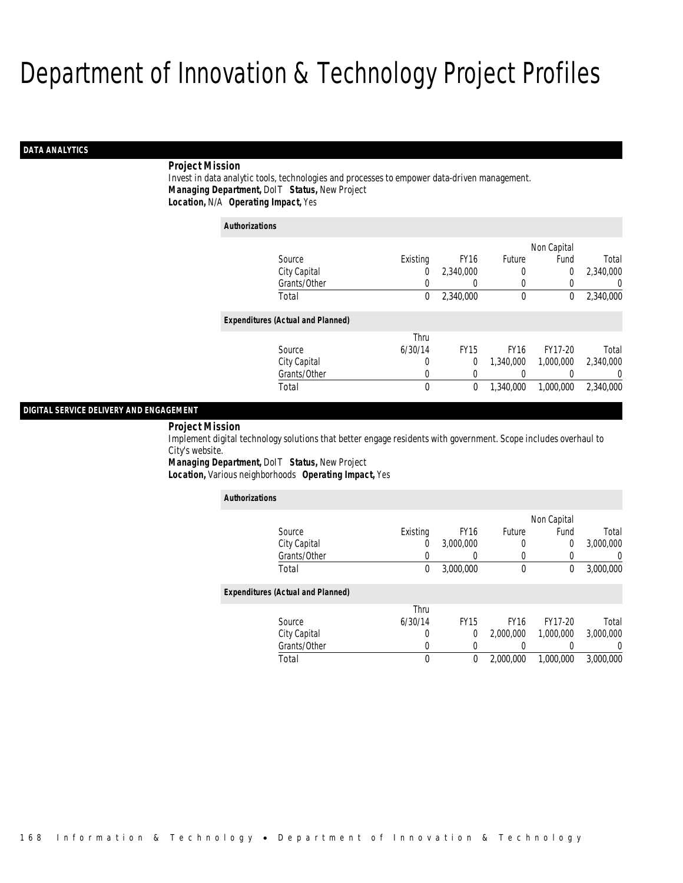## *DATA ANALYTICS*

### *Project Mission*

Invest in data analytic tools, technologies and processes to empower data-driven management. *Managing Department,* DoIT *Status,* New Project*Location,* N/A *Operating Impact,* Yes

| <b>Authorizations</b>                    |              |          |             |             |                |                |
|------------------------------------------|--------------|----------|-------------|-------------|----------------|----------------|
|                                          |              |          |             |             | Non Capital    |                |
| Source                                   |              | Existing | <b>FY16</b> | Future      | Fund           | Total          |
|                                          | City Capital | 0        | 2,340,000   | 0           | $\overline{0}$ | 2,340,000      |
|                                          | Grants/Other | 0        | 0           | 0           | 0              | $\overline{0}$ |
| Total                                    |              | 0        | 2,340,000   | $\mathbf 0$ | 0              | 2,340,000      |
| <b>Expenditures (Actual and Planned)</b> |              |          |             |             |                |                |
|                                          |              | Thru     |             |             |                |                |
| Source                                   |              | 6/30/14  | <b>FY15</b> | <b>FY16</b> | FY17-20        | Total          |
|                                          | City Capital | 0        | 0           | 1.340.000   | 1.000.000      | 2,340,000      |
|                                          | Grants/Other | 0        | 0           |             |                | $\Omega$       |
| Total                                    |              | 0        | 0           | 1.340.000   | 1,000,000      | 2.340.000      |

## *DIGITAL SERVICE DELIVERY AND ENGAGEMENT*

#### *Project Mission*

Implement digital technology solutions that better engage residents with government. Scope includes overhaul to City's website.

*Managing Department,* DoIT *Status,* New Project*Location,* Various neighborhoods *Operating Impact,* Yes

| <b>Authorizations</b>                    |          |                  |             |                |           |
|------------------------------------------|----------|------------------|-------------|----------------|-----------|
|                                          |          |                  |             | Non Capital    |           |
| Source                                   | Existing | FY <sub>16</sub> | Future      | Fund           | Total     |
| City Capital                             | 0        | 3,000,000        | 0           | $\overline{0}$ | 3,000,000 |
| Grants/Other                             | 0        | 0                | 0           | $\Omega$       | 0         |
| Total                                    | 0        | 3,000,000        | 0           | 0              | 3,000,000 |
| <b>Expenditures (Actual and Planned)</b> |          |                  |             |                |           |
|                                          | Thru     |                  |             |                |           |
| Source                                   | 6/30/14  | <b>FY15</b>      | <b>FY16</b> | FY17-20        | Total     |
| City Capital                             | 0        | 0                | 2,000,000   | 1,000,000      | 3,000,000 |
| Grants/Other                             | 0        | 0                |             |                | 0         |
| Total                                    | 0        | 0                | 2,000,000   | 1.000.000      | 3,000,000 |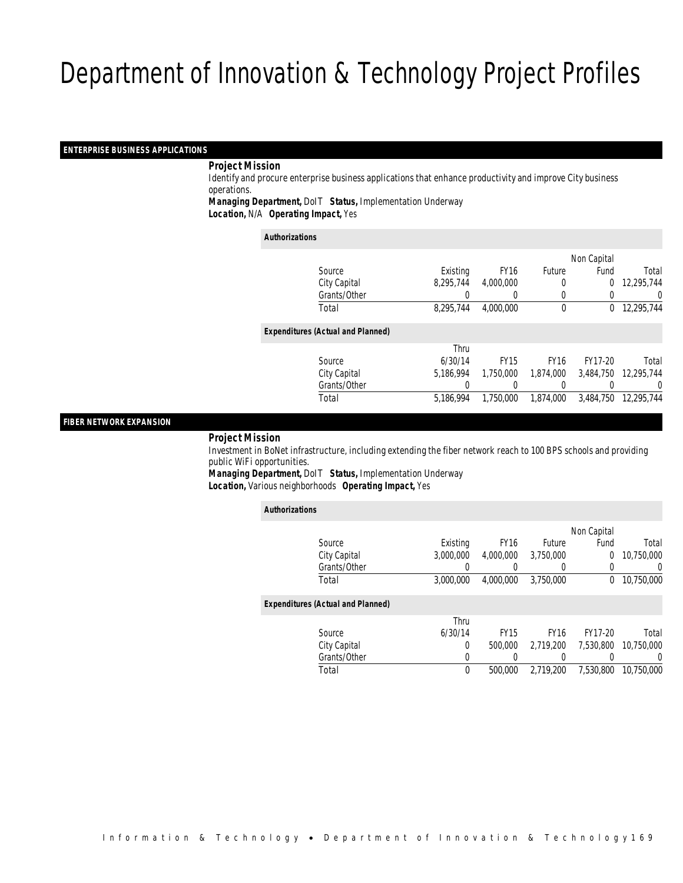## *ENTERPRISE BUSINESS APPLICATIONS*

### *Project Mission*

 Identify and procure enterprise business applications that enhance productivity and improve City business operations.

*Managing Department,* DoIT *Status,* Implementation Underway

*Location,* N/A *Operating Impact,* Yes

*Authorizations*

|                                          |           |                  |               | Non Capital |            |
|------------------------------------------|-----------|------------------|---------------|-------------|------------|
| Source                                   | Existing  | <b>FY16</b>      | <b>Future</b> | Fund        | Total      |
| City Capital                             | 8.295.744 | 4,000,000        | 0             | 0           | 12,295,744 |
| Grants/Other                             | 0         | $\left( \right)$ | $\left($      | 0           | 0          |
| Total                                    | 8,295,744 | 4,000,000        | $\mathbf 0$   | $\Omega$    | 12,295,744 |
| <b>Expenditures (Actual and Planned)</b> |           |                  |               |             |            |
|                                          | Thru      |                  |               |             |            |
| Source                                   | 6/30/14   | <b>FY15</b>      | <b>FY16</b>   | FY17-20     | Total      |
| City Capital                             | 5.186.994 | 1,750,000        | 1,874,000     | 3,484,750   | 12,295,744 |
| Grants/Other                             | 0         |                  |               |             | 0          |
| Total                                    | 5,186,994 | 1,750,000        | 1,874,000     | 3,484,750   | 12,295,744 |
|                                          |           |                  |               |             |            |

## *FIBER NETWORK EXPANSION*

*Project Mission*

 Investment in BoNet infrastructure, including extending the fiber network reach to 100 BPS schools and providing public WiFi opportunities.

*Managing Department,* DoIT *Status,* Implementation Underway*Location,* Various neighborhoods *Operating Impact,* Yes

| <b>Authorizations</b>                    |           |             |             |             |                  |
|------------------------------------------|-----------|-------------|-------------|-------------|------------------|
|                                          |           |             |             | Non Capital |                  |
| Source                                   | Existing  | <b>FY16</b> | Future      | Fund        | Total            |
| City Capital                             | 3.000.000 | 4.000.000   | 3.750.000   | 0           | 10.750.000       |
| Grants/Other                             | 0         | 0           | 0           | 0           | $\left( \right)$ |
| Total                                    | 3,000,000 | 4.000.000   | 3,750,000   | 0           | 10,750,000       |
| <b>Expenditures (Actual and Planned)</b> |           |             |             |             |                  |
|                                          | Thru      |             |             |             |                  |
| Source                                   | 6/30/14   | <b>FY15</b> | <b>FY16</b> | FY17-20     | Total            |
| City Capital                             | 0         | 500,000     | 2.719.200   | 7.530.800   | 10.750.000       |
| Grants/Other                             | 0         |             |             |             | 0                |
| Total                                    | 0         | 500,000     | 2.719.200   | 7.530.800   | 10.750.000       |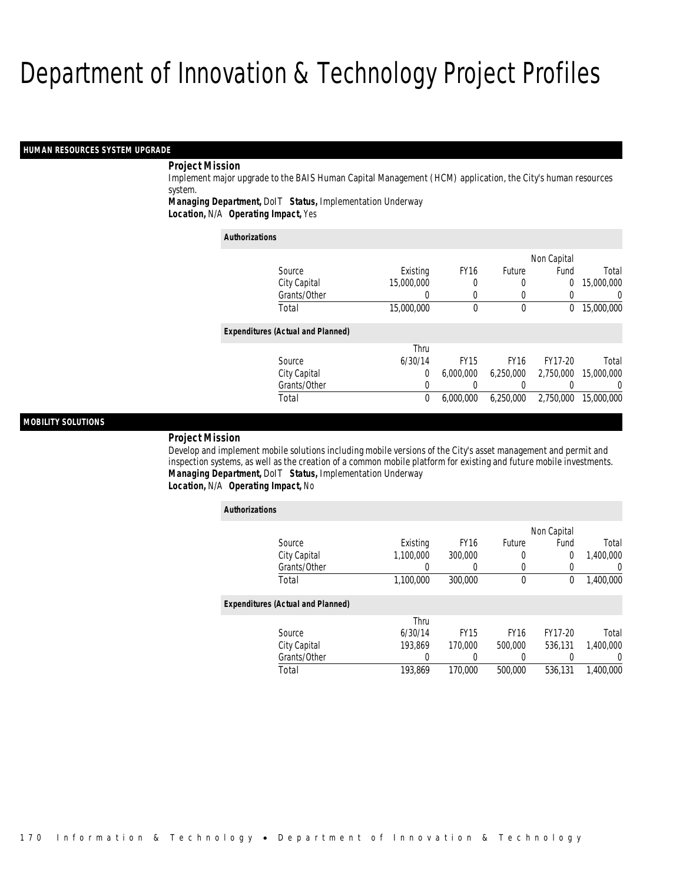#### *HUMAN RESOURCES SYSTEM UPGRADE*

## *Project Mission*

Implement major upgrade to the BAIS Human Capital Management (HCM) application, the City's human resources system.

*Managing Department,* DoIT *Status,* Implementation Underway

*Location,* N/A *Operating Impact,* Yes

| <b>Authorizations</b>                    |            |             |             |                |                |
|------------------------------------------|------------|-------------|-------------|----------------|----------------|
|                                          |            |             |             | Non Capital    |                |
| Source                                   | Existing   | <b>FY16</b> | Future      | Fund           | Total          |
| City Capital                             | 15,000,000 | $\left($    | 0           | $\overline{0}$ | 15,000,000     |
| Grants/Other                             |            | $\Omega$    | 0           |                | $\overline{0}$ |
| Total                                    | 15,000,000 | $\theta$    | 0           | 0              | 15,000,000     |
| <b>Expenditures (Actual and Planned)</b> |            |             |             |                |                |
|                                          | Thru       |             |             |                |                |
| Source                                   | 6/30/14    | <b>FY15</b> | <b>FY16</b> | FY17-20        | Total          |
| City Capital                             | $\Omega$   | 6.000.000   | 6.250.000   | 2.750.000      | 15,000,000     |
| Grants/Other                             | 0          |             |             |                | $\Omega$       |
| Total                                    | 0          | 6.000.000   | 6.250.000   | 2.750.000      | 15,000,000     |

### *MOBILITY SOLUTIONS*

#### *Project Mission*

Develop and implement mobile solutions including mobile versions of the City's asset management and permit and inspection systems, as well as the creation of a common mobile platform for existing and future mobile investments. *Managing Department,* DoIT *Status,* Implementation Underway*Location,* N/A *Operating Impact,* No

| <b>Authorizations</b>                    |           |             |             |             |           |
|------------------------------------------|-----------|-------------|-------------|-------------|-----------|
|                                          |           |             |             | Non Capital |           |
| Source                                   | Existing  | <b>FY16</b> | Future      | Fund        | Total     |
| City Capital                             | 1.100.000 | 300,000     | 0           | 0           | 1,400,000 |
| Grants/Other                             | 0         | 0           | 0           | $\left($    | $\Omega$  |
| Total                                    | 1,100,000 | 300,000     | $\mathbf 0$ | $\mathbf 0$ | 1,400,000 |
| <b>Expenditures (Actual and Planned)</b> |           |             |             |             |           |
|                                          | Thru      |             |             |             |           |
| Source                                   | 6/30/14   | <b>FY15</b> | <b>FY16</b> | FY17-20     | Total     |
| City Capital                             | 193.869   | 170,000     | 500,000     | 536.131     | 1,400,000 |
| Grants/Other                             | 0         |             | 0           |             | $\Omega$  |
| Total                                    | 193.869   | 170,000     | 500,000     | 536,131     | 1.400.000 |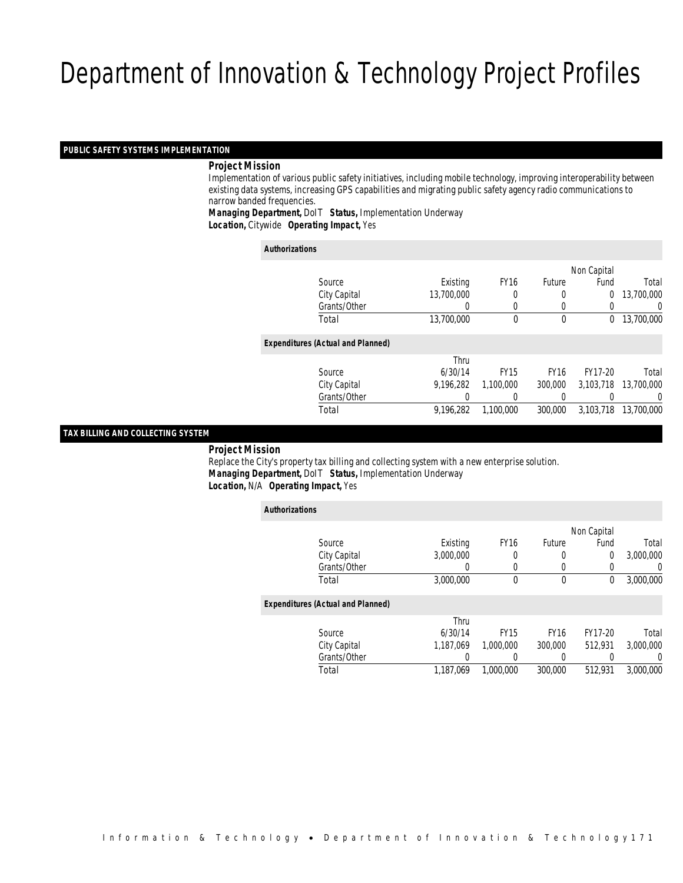## *PUBLIC SAFETY SYSTEMS IMPLEMENTATION*

#### *Project Mission*

 Implementation of various public safety initiatives, including mobile technology, improving interoperability between existing data systems, increasing GPS capabilities and migrating public safety agency radio communications to narrow banded frequencies.

*Managing Department,* DoIT *Status,* Implementation Underway*Location,* Citywide *Operating Impact,* Yes

| <b>Authorizations</b> |                                          |                  |             |             |                |            |
|-----------------------|------------------------------------------|------------------|-------------|-------------|----------------|------------|
|                       |                                          |                  |             |             | Non Capital    |            |
|                       | Source                                   | Existing         | <b>FY16</b> | Future      | Fund           | Total      |
|                       | City Capital                             | 13,700,000       | 0           |             | $\overline{0}$ | 13,700,000 |
|                       | Grants/Other                             | $\left( \right)$ | 0           | $\left($    | 0              | 0          |
|                       | Total                                    | 13,700,000       | $\theta$    | $\mathbf 0$ | $\Omega$       | 13,700,000 |
|                       | <b>Expenditures (Actual and Planned)</b> |                  |             |             |                |            |
|                       |                                          | Thru             |             |             |                |            |
|                       | Source                                   | 6/30/14          | <b>FY15</b> | <b>FY16</b> | FY17-20        | Total      |
|                       | City Capital                             | 9.196.282        | 1.100.000   | 300,000     | 3.103.718      | 13,700,000 |
|                       | Grants/Other                             | 0                |             | $\left($    |                | 0          |
|                       | Total                                    | 9.196.282        | 1.100.000   | 300,000     | 3.103.718      | 13,700,000 |
|                       |                                          |                  |             |             |                |            |

#### *TAX BILLING AND COLLECTING SYSTEM*

*Project Mission*

 Replace the City's property tax billing and collecting system with a new enterprise solution. *Managing Department,* DoIT *Status,* Implementation Underway*Location,* N/A *Operating Impact,* Yes

| <b>Authorizations</b>                    |           |             |             |             |                  |
|------------------------------------------|-----------|-------------|-------------|-------------|------------------|
|                                          |           |             |             | Non Capital |                  |
| Source                                   | Existing  | <b>FY16</b> | Future      | Fund        | Total            |
| City Capital                             | 3.000.000 | 0           | 0           | 0           | 3,000,000        |
| Grants/Other                             | 0         | $\Omega$    | 0           |             | $\left( \right)$ |
| Total                                    | 3,000,000 | 0           | $\mathbf 0$ | 0           | 3,000,000        |
| <b>Expenditures (Actual and Planned)</b> |           |             |             |             |                  |
|                                          | Thru      |             |             |             |                  |
| Source                                   | 6/30/14   | <b>FY15</b> | <b>FY16</b> | FY17-20     | Total            |
| City Capital                             | 1.187.069 | 1,000,000   | 300,000     | 512.931     | 3,000,000        |
| Grants/Other                             | 0         |             | 0           |             | $\overline{0}$   |
| Total                                    | 1.187.069 | 1.000.000   | 300,000     | 512.931     | 3,000,000        |